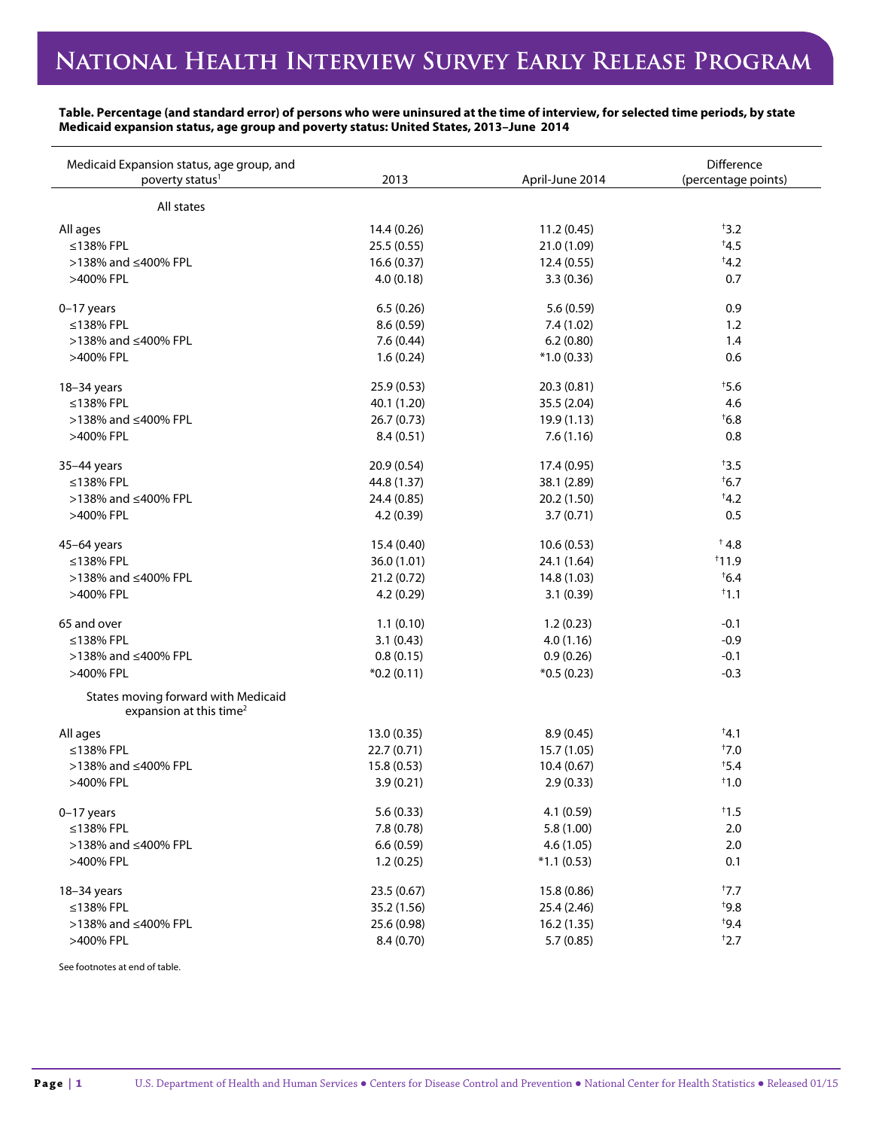## **Table. Percentage (and standard error) of persons who were uninsured at the time of interview, for selected time periods, by state Medicaid expansion status, age group and poverty status: United States, 2013–June 2014**

| Medicaid Expansion status, age group, and<br>poverty status <sup>1</sup>   | 2013         | April-June 2014 | Difference<br>(percentage points) |
|----------------------------------------------------------------------------|--------------|-----------------|-----------------------------------|
|                                                                            |              |                 |                                   |
| All states                                                                 |              |                 |                                   |
| All ages                                                                   | 14.4 (0.26)  | 11.2(0.45)      | 13.2                              |
| ≤138% FPL                                                                  | 25.5 (0.55)  | 21.0 (1.09)     | $\overline{4.5}$                  |
| >138% and ≤400% FPL                                                        | 16.6(0.37)   | 12.4(0.55)      | $\overline{4.2}$                  |
| >400% FPL                                                                  | 4.0(0.18)    | 3.3(0.36)       | 0.7                               |
| $0-17$ years                                                               | 6.5(0.26)    | 5.6 (0.59)      | 0.9                               |
| ≤138% FPL                                                                  | 8.6 (0.59)   | 7.4(1.02)       | 1.2                               |
| >138% and ≤400% FPL                                                        | 7.6(0.44)    | 6.2(0.80)       | 1.4                               |
| >400% FPL                                                                  | 1.6(0.24)    | $*1.0(0.33)$    | 0.6                               |
| 18-34 years                                                                | 25.9 (0.53)  | 20.3 (0.81)     | $\ddagger$ 5.6                    |
| $\leq$ 138% FPL                                                            | 40.1 (1.20)  | 35.5 (2.04)     | 4.6                               |
| >138% and ≤400% FPL                                                        | 26.7(0.73)   | 19.9(1.13)      | $\overline{6.8}$                  |
| >400% FPL                                                                  | 8.4(0.51)    | 7.6(1.16)       | 0.8                               |
| 35-44 years                                                                | 20.9 (0.54)  | 17.4 (0.95)     | $\ddagger$ 3.5                    |
| ≤138% FPL                                                                  | 44.8 (1.37)  | 38.1 (2.89)     | $\overline{6.7}$                  |
| >138% and ≤400% FPL                                                        | 24.4 (0.85)  | 20.2 (1.50)     | $\overline{4.2}$                  |
| >400% FPL                                                                  | 4.2(0.39)    | 3.7(0.71)       | 0.5                               |
| 45-64 years                                                                | 15.4 (0.40)  | 10.6(0.53)      | $^{\dagger}$ 4.8                  |
| ≤138% FPL                                                                  | 36.0 (1.01)  | 24.1 (1.64)     | 11.9                              |
| >138% and ≤400% FPL                                                        | 21.2(0.72)   | 14.8 (1.03)     | $\overline{6}$ .4                 |
| >400% FPL                                                                  | 4.2 (0.29)   | 3.1(0.39)       | 11.1                              |
|                                                                            |              |                 |                                   |
| 65 and over                                                                | 1.1(0.10)    | 1.2(0.23)       | $-0.1$                            |
| ≤138% FPL                                                                  | 3.1(0.43)    | 4.0(1.16)       | $-0.9$                            |
| >138% and ≤400% FPL                                                        | 0.8(0.15)    | 0.9(0.26)       | $-0.1$                            |
| >400% FPL                                                                  | $*0.2(0.11)$ | $*0.5(0.23)$    | $-0.3$                            |
| States moving forward with Medicaid<br>expansion at this time <sup>2</sup> |              |                 |                                   |
| All ages                                                                   | 13.0(0.35)   | 8.9(0.45)       | A,1                               |
| ≤138% FPL                                                                  | 22.7 (0.71)  | 15.7 (1.05)     | $\ddagger$ 7.0                    |
| >138% and ≤400% FPL                                                        | 15.8(0.53)   | 10.4(0.67)      | $\overline{5.4}$                  |
| >400% FPL                                                                  | 3.9(0.21)    | 2.9(0.33)       | $^{\dagger}1.0$                   |
| $0-17$ years                                                               | 5.6(0.33)    | 4.1 (0.59)      | $\ddagger$ 1.5                    |
| ≤138% FPL                                                                  | 7.8 (0.78)   | 5.8 (1.00)      | 2.0                               |
| >138% and ≤400% FPL                                                        | 6.6(0.59)    | 4.6(1.05)       | 2.0                               |
| >400% FPL                                                                  | 1.2(0.25)    | $*1.1(0.53)$    | 0.1                               |
| $18-34$ years                                                              | 23.5 (0.67)  | 15.8 (0.86)     | $\ddagger$ 7.7                    |
| ≤138% FPL                                                                  | 35.2 (1.56)  | 25.4 (2.46)     | $*9.8$                            |
| >138% and ≤400% FPL                                                        | 25.6 (0.98)  | 16.2(1.35)      | $+9.4$                            |
| >400% FPL                                                                  | 8.4 (0.70)   | 5.7(0.85)       | 12.7                              |
|                                                                            |              |                 |                                   |

See footnotes at end of table.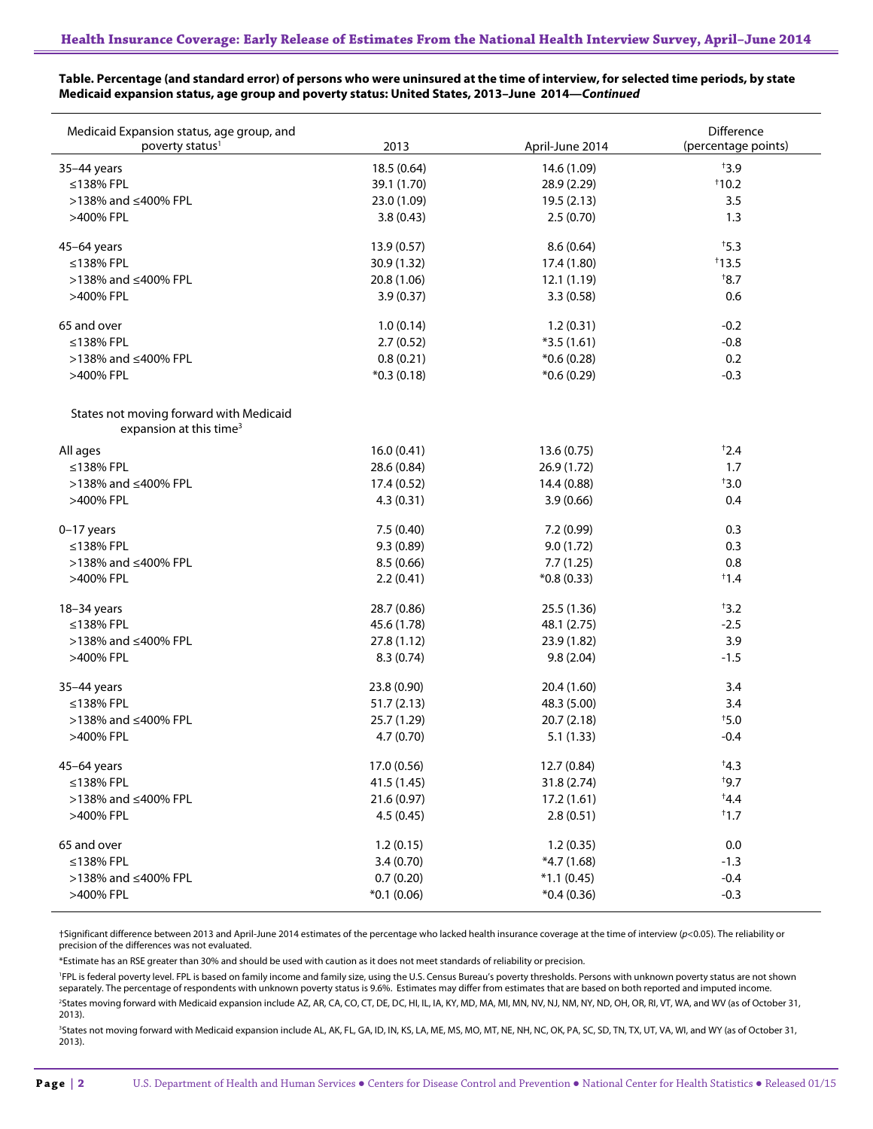## **Table. Percentage (and standard error) of persons who were uninsured at the time of interview, for selected time periods, by state Medicaid expansion status, age group and poverty status: United States, 2013–June 2014—***Continued*

| Medicaid Expansion status, age group, and<br>poverty status <sup>1</sup>       | 2013                      | April-June 2014         | Difference<br>(percentage points) |
|--------------------------------------------------------------------------------|---------------------------|-------------------------|-----------------------------------|
| 35-44 years                                                                    | 18.5(0.64)                | 14.6 (1.09)             | 13.9                              |
| ≤138% FPL                                                                      | 39.1 (1.70)               | 28.9 (2.29)             | 110.2                             |
| >138% and ≤400% FPL                                                            | 23.0 (1.09)               | 19.5(2.13)              | 3.5                               |
| >400% FPL                                                                      | 3.8(0.43)                 | 2.5(0.70)               | 1.3                               |
|                                                                                |                           |                         |                                   |
| 45-64 years                                                                    | 13.9(0.57)                | 8.6(0.64)               | $\ddagger$ 5.3                    |
| ≤138% FPL                                                                      | 30.9 (1.32)               | 17.4 (1.80)             | $*13.5$                           |
| >138% and ≤400% FPL                                                            | 20.8 (1.06)               | 12.1(1.19)              | $\overline{8.7}$                  |
| >400% FPL                                                                      | 3.9(0.37)                 | 3.3(0.58)               | 0.6                               |
| 65 and over                                                                    | 1.0(0.14)                 | 1.2(0.31)               | $-0.2$                            |
| ≤138% FPL                                                                      | 2.7(0.52)                 | $*3.5(1.61)$            | $-0.8$                            |
| >138% and ≤400% FPL                                                            | 0.8(0.21)                 | $*0.6(0.28)$            | 0.2                               |
| >400% FPL                                                                      | $*0.3(0.18)$              | $*0.6(0.29)$            | $-0.3$                            |
|                                                                                |                           |                         |                                   |
| States not moving forward with Medicaid<br>expansion at this time <sup>3</sup> |                           |                         |                                   |
| All ages                                                                       | 16.0(0.41)                | 13.6(0.75)              | 12.4                              |
| ≤138% FPL                                                                      | 28.6 (0.84)               | 26.9 (1.72)             | 1.7                               |
| >138% and ≤400% FPL                                                            | 17.4 (0.52)               | 14.4 (0.88)             | $*3.0$                            |
| >400% FPL                                                                      | 4.3(0.31)                 | 3.9(0.66)               | 0.4                               |
|                                                                                |                           |                         |                                   |
| $0-17$ years<br>≤138% FPL                                                      | 7.5(0.40)<br>9.3(0.89)    | 7.2(0.99)<br>9.0(1.72)  | 0.3<br>0.3                        |
| >138% and ≤400% FPL                                                            |                           |                         | 0.8                               |
| >400% FPL                                                                      | 8.5(0.66)                 | 7.7(1.25)               | 1.4                               |
|                                                                                | 2.2(0.41)                 | $*0.8(0.33)$            |                                   |
| 18-34 years                                                                    | 28.7 (0.86)               | 25.5 (1.36)             | $+3.2$                            |
| ≤138% FPL                                                                      | 45.6 (1.78)               | 48.1 (2.75)             | $-2.5$                            |
| >138% and ≤400% FPL                                                            | 27.8(1.12)                | 23.9 (1.82)             | 3.9                               |
| >400% FPL                                                                      | 8.3(0.74)                 | 9.8(2.04)               | $-1.5$                            |
|                                                                                |                           |                         |                                   |
| 35-44 years<br>$\leq$ 138% FPL                                                 | 23.8 (0.90)               | 20.4 (1.60)             | 3.4<br>3.4                        |
| >138% and ≤400% FPL                                                            | 51.7(2.13)                | 48.3 (5.00)             |                                   |
| >400% FPL                                                                      | 25.7 (1.29)<br>4.7 (0.70) | 20.7(2.18)<br>5.1(1.33) | $*5.0$<br>$-0.4$                  |
|                                                                                |                           |                         |                                   |
| 45-64 years                                                                    | 17.0 (0.56)               | 12.7 (0.84)             | $*4.3$                            |
| ≤138% FPL                                                                      | 41.5 (1.45)               | 31.8 (2.74)             | $+9.7$                            |
| >138% and ≤400% FPL                                                            | 21.6 (0.97)               | 17.2(1.61)              | $*4.4$                            |
| >400% FPL                                                                      | 4.5(0.45)                 | 2.8(0.51)               | $\pm$ 1.7                         |
|                                                                                |                           |                         |                                   |
| 65 and over                                                                    | 1.2(0.15)                 | 1.2(0.35)               | $0.0\,$                           |
| ≤138% FPL                                                                      | 3.4(0.70)                 | $*4.7(1.68)$            | $-1.3$                            |
| >138% and ≤400% FPL                                                            | 0.7(0.20)                 | $*1.1(0.45)$            | $-0.4$                            |
| >400% FPL                                                                      | $*0.1(0.06)$              | $*0.4(0.36)$            | $-0.3$                            |

†Significant difference between 2013 and April-June 2014 estimates of the percentage who lacked health insurance coverage at the time of interview (*p*<0.05). The reliability or precision of the differences was not evaluated.

\*Estimate has an RSE greater than 30% and should be used with caution as it does not meet standards of reliability or precision.

<sup>1</sup>FPL is federal poverty level. FPL is based on family income and family size, using the U.S. Census Bureau's poverty thresholds. Persons with unknown poverty status are not shown separately. The percentage of respondents with unknown poverty status is 9.6%. Estimates may differ from estimates that are based on both reported and imputed income. <sup>2</sup>States moving forward with Medicaid expansion include AZ, AR, CA, CO, CT, DE, DC, HI, IL, IA, KY, MD, MA, MI, MN, NV, NJ, NM, NY, ND, OH, OR, RI, VT, WA, and WV (as of October 31,

2013). <sup>3</sup>States not moving forward with Medicaid expansion include AL, AK, FL, GA, ID, IN, KS, LA, ME, MS, MO, MT, NE, NH, NC, OK, PA, SC, SD, TN, TX, UT, VA, WI, and WY (as of October 31, 2013).